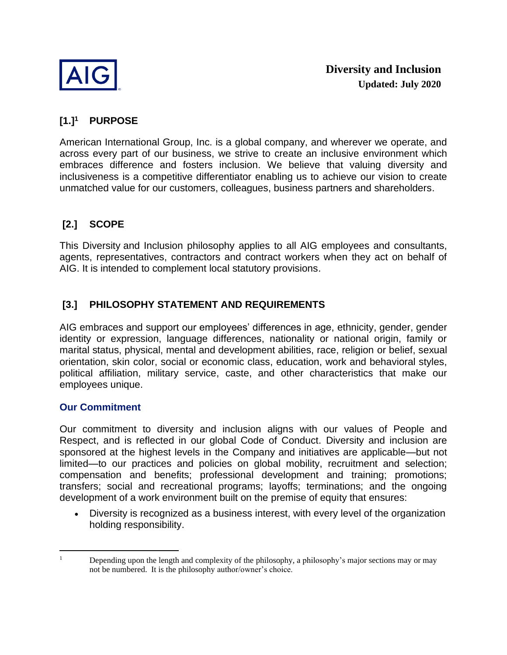

#### **[1.] 1 PURPOSE**

 across every part of our business, we strive to create an inclusive environment which embraces difference and fosters inclusion. We believe that valuing diversity and inclusiveness is a competitive differentiator enabling us to achieve our vision to create American International Group, Inc. is a global company, and wherever we operate, and unmatched value for our customers, colleagues, business partners and shareholders.

# **[2.] SCOPE**

 This Diversity and Inclusion philosophy applies to all AIG employees and consultants, agents, representatives, contractors and contract workers when they act on behalf of AIG. It is intended to complement local statutory provisions.

# **[3.] PHILOSOPHY STATEMENT AND REQUIREMENTS**

 identity or expression, language differences, nationality or national origin, family or orientation, skin color, social or economic class, education, work and behavioral styles, political affiliation, military service, caste, and other characteristics that make our AIG embraces and support our employees' differences in age, ethnicity, gender, gender marital status, physical, mental and development abilities, race, religion or belief, sexual employees unique.

## **Our Commitment**

 Our commitment to diversity and inclusion aligns with our values of People and Respect, and is reflected in our global Code of Conduct. Diversity and inclusion are sponsored at the highest levels in the Company and initiatives are applicable—but not compensation and benefits; professional development and training; promotions; transfers; social and recreational programs; layoffs; terminations; and the ongoing limited—to our practices and policies on global mobility, recruitment and selection; development of a work environment built on the premise of equity that ensures:

• Diversity is recognized as a business interest, with every level of the organization holding responsibility.

 Depending upon the length and complexity of the philosophy, a philosophy's major sections may or may not be numbered. It is the philosophy author/owner's choice. 1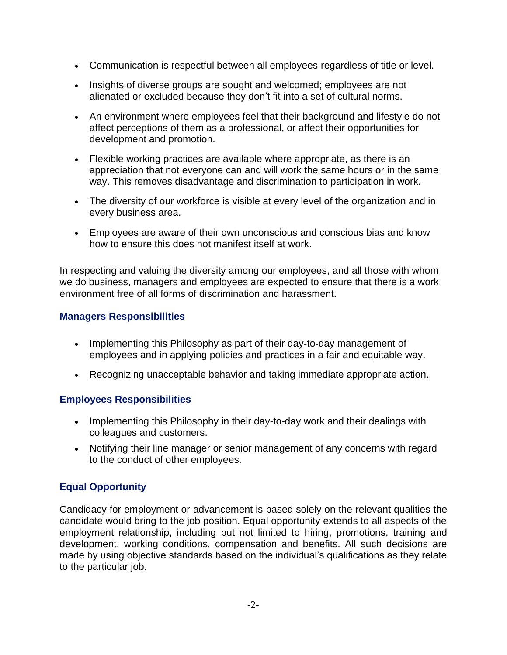- Communication is respectful between all employees regardless of title or level.
- Insights of diverse groups are sought and welcomed; employees are not alienated or excluded because they don't fit into a set of cultural norms.
- affect perceptions of them as a professional, or affect their opportunities for • An environment where employees feel that their background and lifestyle do not development and promotion.
- Flexible working practices are available where appropriate, as there is an appreciation that not everyone can and will work the same hours or in the same way. This removes disadvantage and discrimination to participation in work.
- The diversity of our workforce is visible at every level of the organization and in every business area.
- Employees are aware of their own unconscious and conscious bias and know how to ensure this does not manifest itself at work.

In respecting and valuing the diversity among our employees, and all those with whom we do business, managers and employees are expected to ensure that there is a work environment free of all forms of discrimination and harassment.

# **Managers Responsibilities**

- Implementing this Philosophy as part of their day-to-day management of employees and in applying policies and practices in a fair and equitable way.
- Recognizing unacceptable behavior and taking immediate appropriate action.

# **Employees Responsibilities**

- Implementing this Philosophy in their day-to-day work and their dealings with colleagues and customers.
- Notifying their line manager or senior management of any concerns with regard to the conduct of other employees.

# **Equal Opportunity**

 Candidacy for employment or advancement is based solely on the relevant qualities the candidate would bring to the job position. Equal opportunity extends to all aspects of the employment relationship, including but not limited to hiring, promotions, training and development, working conditions, compensation and benefits. All such decisions are made by using objective standards based on the individual's qualifications as they relate to the particular job.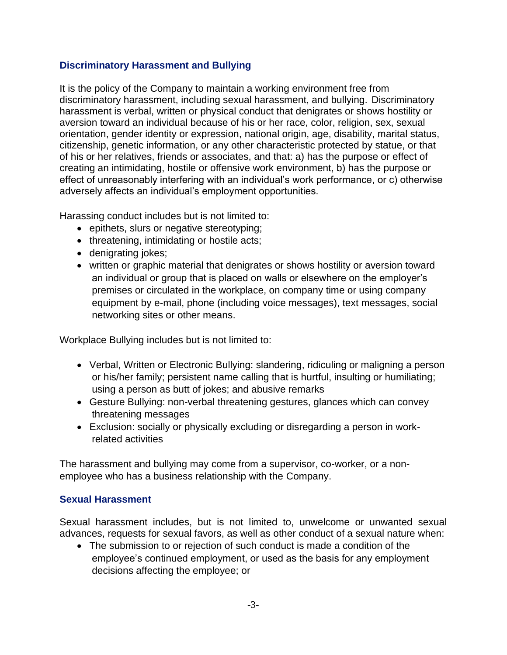## **Discriminatory Harassment and Bullying**

It is the policy of the Company to maintain a working environment free from discriminatory harassment, including sexual harassment, and bullying. Discriminatory harassment is verbal, written or physical conduct that denigrates or shows hostility or aversion toward an individual because of his or her race, color, religion, sex, sexual orientation, gender identity or expression, national origin, age, disability, marital status, citizenship, genetic information, or any other characteristic protected by statue, or that of his or her relatives, friends or associates, and that: a) has the purpose or effect of creating an intimidating, hostile or offensive work environment, b) has the purpose or effect of unreasonably interfering with an individual's work performance, or c) otherwise adversely affects an individual's employment opportunities.

Harassing conduct includes but is not limited to:

- epithets, slurs or negative stereotyping;
- threatening, intimidating or hostile acts;
- denigrating jokes;
- written or graphic material that denigrates or shows hostility or aversion toward an individual or group that is placed on walls or elsewhere on the employer's premises or circulated in the workplace, on company time or using company equipment by e-mail, phone (including voice messages), text messages, social networking sites or other means.

Workplace Bullying includes but is not limited to:

- • Verbal, Written or Electronic Bullying: slandering, ridiculing or maligning a person using a person as butt of jokes; and abusive remarks or his/her family; persistent name calling that is hurtful, insulting or humiliating;
- Gesture Bullying: non-verbal threatening gestures, glances which can convey threatening messages
- Exclusion: socially or physically excluding or disregarding a person in workrelated activities

The harassment and bullying may come from a supervisor, co-worker, or a nonemployee who has a business relationship with the Company.

## **Sexual Harassment**

 Sexual harassment includes, but is not limited to, unwelcome or unwanted sexual advances, requests for sexual favors, as well as other conduct of a sexual nature when:

 • The submission to or rejection of such conduct is made a condition of the employee's continued employment, or used as the basis for any employment decisions affecting the employee; or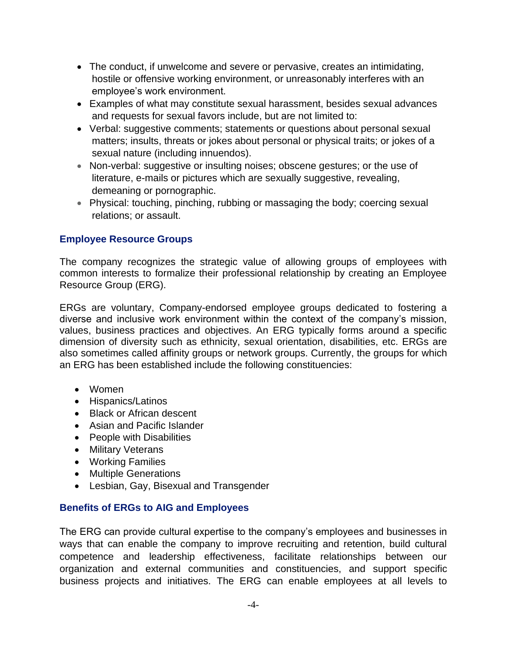- hostile or offensive working environment, or unreasonably interferes with an • The conduct, if unwelcome and severe or pervasive, creates an intimidating, employee's work environment.
- Examples of what may constitute sexual harassment, besides sexual advances and requests for sexual favors include, but are not limited to:
- Verbal: suggestive comments; statements or questions about personal sexual matters; insults, threats or jokes about personal or physical traits; or jokes of a sexual nature (including innuendos).
- • Non-verbal: suggestive or insulting noises; obscene gestures; or the use of literature, e-mails or pictures which are sexually suggestive, revealing, demeaning or pornographic.
- Physical: touching, pinching, rubbing or massaging the body; coercing sexual relations; or assault.

# **Employee Resource Groups**

 common interests to formalize their professional relationship by creating an Employee The company recognizes the strategic value of allowing groups of employees with Resource Group (ERG).

 ERGs are voluntary, Company-endorsed employee groups dedicated to fostering a diverse and inclusive work environment within the context of the company's mission, values, business practices and objectives. An ERG typically forms around a specific also sometimes called affinity groups or network groups. Currently, the groups for which dimension of diversity such as ethnicity, sexual orientation, disabilities, etc. ERGs are an ERG has been established include the following constituencies:

- Women
- Hispanics/Latinos
- Black or African descent
- Asian and Pacific Islander
- People with Disabilities
- Military Veterans
- Working Families
- Multiple Generations
- Lesbian, Gay, Bisexual and Transgender

## **Benefits of ERGs to AIG and Employees**

 The ERG can provide cultural expertise to the company's employees and businesses in ways that can enable the company to improve recruiting and retention, build cultural competence and leadership effectiveness, facilitate relationships between our organization and external communities and constituencies, and support specific business projects and initiatives. The ERG can enable employees at all levels to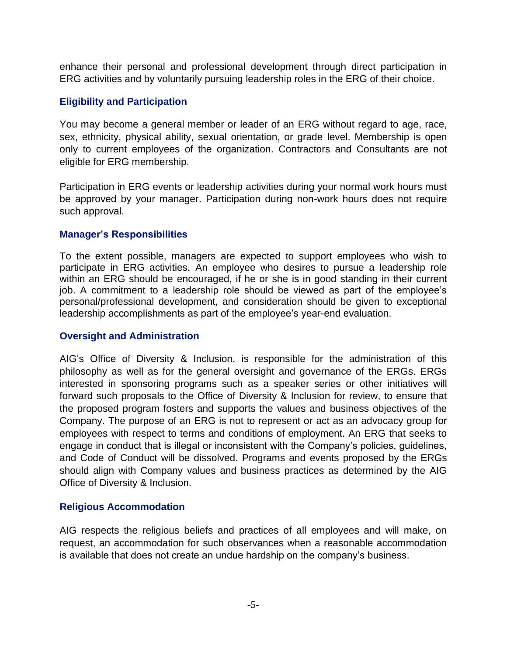enhance their personal and professional development through direct participation in ERG activities and by voluntarily pursuing leadership roles in the ERG of their choice.

## **Eligibility and Participation**

 You may become a general member or leader of an ERG without regard to age, race, sex, ethnicity, physical ability, sexual orientation, or grade level. Membership is open only to current employees of the organization. Contractors and Consultants are not eligible for ERG membership.

 be approved by your manager. Participation during non-work hours does not require Participation in ERG events or leadership activities during your normal work hours must such approval.

## **Manager's Responsibilities**

 To the extent possible, managers are expected to support employees who wish to participate in ERG activities. An employee who desires to pursue a leadership role within an ERG should be encouraged, if he or she is in good standing in their current job. A commitment to a leadership role should be viewed as part of the employee's personal/professional development, and consideration should be given to exceptional leadership accomplishments as part of the employee's year-end evaluation.

## **Oversight and Administration**

 AIG's Office of Diversity & Inclusion, is responsible for the administration of this philosophy as well as for the general oversight and governance of the ERGs. ERGs interested in sponsoring programs such as a speaker series or other initiatives will forward such proposals to the Office of Diversity & Inclusion for review, to ensure that the proposed program fosters and supports the values and business objectives of the Company. The purpose of an ERG is not to represent or act as an advocacy group for employees with respect to terms and conditions of employment. An ERG that seeks to engage in conduct that is illegal or inconsistent with the Company's policies, guidelines, and Code of Conduct will be dissolved. Programs and events proposed by the ERGs should align with Company values and business practices as determined by the AIG Office of Diversity & Inclusion.

## **Religious Accommodation**

 AIG respects the religious beliefs and practices of all employees and will make, on request, an accommodation for such observances when a reasonable accommodation is available that does not create an undue hardship on the company's business.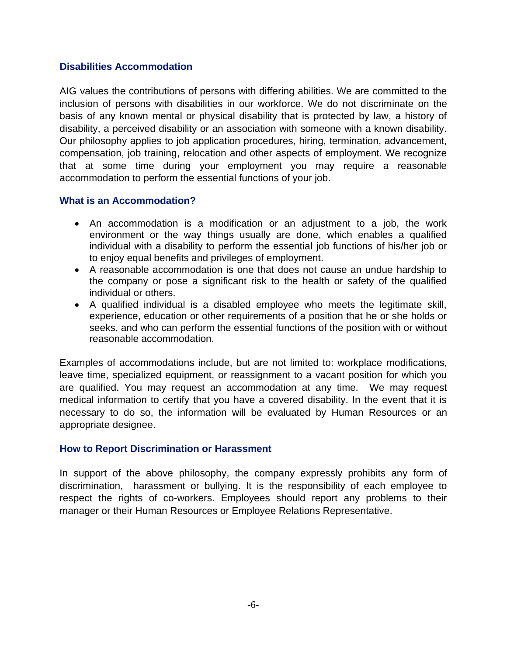## **Disabilities Accommodation**

 AIG values the contributions of persons with differing abilities. We are committed to the inclusion of persons with disabilities in our workforce. We do not discriminate on the basis of any known mental or physical disability that is protected by law, a history of disability, a perceived disability or an association with someone with a known disability. Our philosophy applies to job application procedures, hiring, termination, advancement, compensation, job training, relocation and other aspects of employment. We recognize that at some time during your employment you may require a reasonable accommodation to perform the essential functions of your job.

## **What is an Accommodation?**

- • An accommodation is a modification or an adjustment to a job, the work environment or the way things usually are done, which enables a qualified individual with a disability to perform the essential job functions of his/her job or to enjoy equal benefits and privileges of employment.
- • A reasonable accommodation is one that does not cause an undue hardship to the company or pose a significant risk to the health or safety of the qualified individual or others.
- • A qualified individual is a disabled employee who meets the legitimate skill, experience, education or other requirements of a position that he or she holds or seeks, and who can perform the essential functions of the position with or without reasonable accommodation.

 leave time, specialized equipment, or reassignment to a vacant position for which you medical information to certify that you have a covered disability. In the event that it is necessary to do so, the information will be evaluated by Human Resources or an Examples of accommodations include, but are not limited to: workplace modifications, are qualified. You may request an accommodation at any time. We may request appropriate designee.

## **How to Report Discrimination or Harassment**

 In support of the above philosophy, the company expressly prohibits any form of discrimination, harassment or bullying. It is the responsibility of each employee to respect the rights of co-workers. Employees should report any problems to their manager or their Human Resources or Employee Relations Representative.